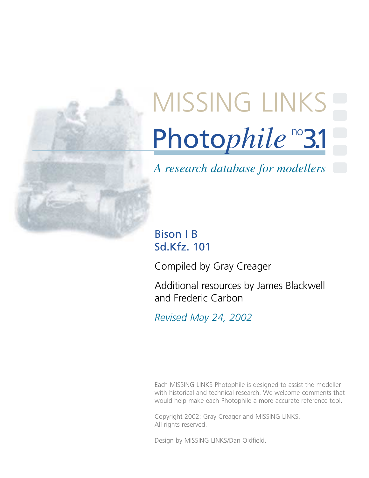

# Photophile<sup>no</sup>3.1 [MISSING LINKS](http://www.missing-lynx.com/)

## *A research database for modellers*

### Bison I B Sd.Kfz. 101

Compiled by Gray Creager

Additional resources by James Blackwell and Frederic Carbon

*Revised May 24, 2002*

Each MISSING LINKS Photophile is designed to assist the modeller with historical and technical research. We welcome comments that would help make each Photophile a more accurate reference tool.

Copyright 2002: Gray Creager and MISSING LINKS. All rights reserved.

Design by MISSING LINKS/Dan Oldfield.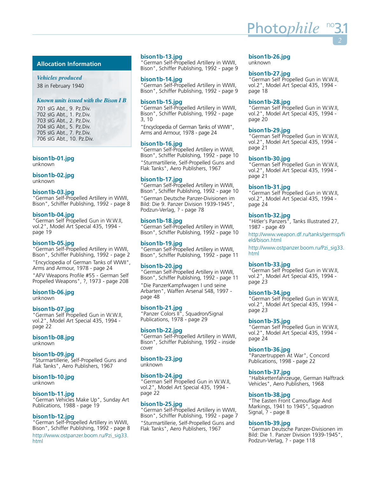#### **Allocation Information**

*Vehicles produced* 38 in February 1940

#### *Known units issued with the Bison I B*

701 sIG Abt., 9. Pz.Div. 702 sIG Abt., 1. Pz.Div. 703 sIG Abt., 2. Pz.Div. 704 sIG Abt., 5. Pz.Div. 705 sIG Abt., 7. Pz.Div. 706 sIG Abt., 10. Pz.Div.

**bison1b-01.jpg** 

unknown

#### **bison1b-02.jpg**

unknown

#### **bison1b-03.jpg**

"German Self-Propelled Artillery in WWII, Bison", Schiffer Publishing, 1992 - page 8

#### **bison1b-04.jpg**

"German Self Propelled Gun in W.W.II, vol.2", Model Art Special 435, 1994 page 19

#### **bison1b-05.jpg**

"German Self-Propelled Artillery in WWII, Bison", Schiffer Publishing, 1992 - page 2 "Encyclopedia of German Tanks of WWII", Arms and Armour, 1978 - page 24

"AFV Weapons Profile #55 - German Self Propelled Weapons", ?, 1973 - page 208

#### **bison1b-06.jpg**

unknown

#### **bison1b-07.jpg**

"German Self Propelled Gun in W.W.II, vol.2", Model Art Special 435, 1994 page 22

#### **bison1b-08.jpg**

unknown

#### **bison1b-09.jpg**

"Sturmartillerie, Self-Propelled Guns and Flak Tanks", Aero Publishers, 1967

#### **bison1b-10.jpg**

unknown

#### **bison1b-11.jpg**

"German Vehicles Make Up", Sunday Art Publications, 1988 - page 19

#### **bison1b-12.jpg**

"German Self-Propelled Artillery in WWII, Bison", Schiffer Publishing, 1992 - page 8 [http://www.ostpanzer.boom.ru/Pzi\\_sig33.](http://www.ostpanzer.boom.ru/Pzi_sig33.html
) html

#### **bison1b-13.jpg**

"German Self-Propelled Artillery in WWII, Bison", Schiffer Publishing, 1992 - page 9

#### **bison1b-14.jpg**

"German Self-Propelled Artillery in WWII, Bison", Schiffer Publishing, 1992 - page 9

#### **bison1b-15.jpg**

"German Self-Propelled Artillery in WWII, Bison", Schiffer Publishing, 1992 - page 3, 10

"Encyclopedia of German Tanks of WWII", Arms and Armour, 1978 - page 24

#### **bison1b-16.jpg**

"German Self-Propelled Artillery in WWII, Bison", Schiffer Publishing, 1992 - page 10 "Sturmartillerie, Self-Propelled Guns and Flak Tanks", Aero Publishers, 1967

#### **bison1b-17.jpg**

"German Self-Propelled Artillery in WWII, Bison", Schiffer Publishing, 1992 - page 10 "German Deutsche Panzer-Divisionen im Bild: Die 9. Panzer Division 1939-1945", Podzun-Verlag, ? - page 78

#### **bison1b-18.jpg**

"German Self-Propelled Artillery in WWII, Bison", Schiffer Publishing, 1992 - page 10

#### **bison1b-19.jpg**

"German Self-Propelled Artillery in WWII, Bison", Schiffer Publishing, 1992 - page 11

#### **bison1b-20.jpg**

"German Self-Propelled Artillery in WWII, Bison", Schiffer Publishing, 1992 - page 11

"Die PanzerKampfwagen I und seine Arbarten", Waffen Arsenal S48, 1997 page 48

#### **bison1b-21.jpg**

"Panzer Colors II", Squadron/Signal Publications, 1978 - page 29

#### **bison1b-22.jpg**

"German Self-Propelled Artillery in WWII, Bison", Schiffer Publishing, 1992 - inside cover

**bison1b-23.jpg** 

#### unknown

#### **bison1b-24.jpg**

"German Self Propelled Gun in W.W.II, vol.2", Model Art Special 435, 1994 page 22

#### **bison1b-25.jpg**

"German Self-Propelled Artillery in WWII, Bison", Schiffer Publishing, 1992 - page 7 "Sturmartillerie, Self-Propelled Guns and

Flak Tanks", Aero Publishers, 1967

#### **bison1b-26.jpg**

unknown

#### **bison1b-27.jpg**

"German Self Propelled Gun in W.W.II, vol.2", Model Art Special 435, 1994 page 18

#### **bison1b-28.jpg**

"German Self Propelled Gun in W.W.II, vol.2", Model Art Special 435, 1994 page 20

#### **bison1b-29.jpg**

"German Self Propelled Gun in W.W.II, vol.2", Model Art Special 435, 1994 page 21

#### **bison1b-30.jpg**

"German Self Propelled Gun in W.W.II, vol.2", Model Art Special 435, 1994 page 21

#### **bison1b-31.jpg**

"German Self Propelled Gun in W.W.II, vol.2", Model Art Special 435, 1994 page 24

#### **bison1b-32.jpg**

"Hitler's Panzers", Tanks Illustrated 27, 1987 - page 49

[http://www.weapon.df.ru/tanks/germsp/fi](http://www.weapon.df.ru/tanks/germsp/field/bison.html) eld/bison.html

[http://www.ostpanzer.boom.ru/Pzi\\_sig33.](http://www.ostpanzer.boom.ru/Pzi_sig33.html) html

#### **bison1b-33.jpg**

"German Self Propelled Gun in W.W.II, vol.2", Model Art Special 435, 1994 page 23

#### **bison1b-34.jpg**

"German Self Propelled Gun in W.W.II, vol.2", Model Art Special 435, 1994 page 23

#### **bison1b-35.jpg**

"German Self Propelled Gun in W.W.II, vol.2", Model Art Special 435, 1994 page 24

#### **bison1b-36.jpg**

"Panzertruppen At War", Concord Publications, 1998 - page 22

#### **bison1b-37.jpg**

"Halbkettenfahrzeuge, German Halftrack Vehicles", Aero Publishers, 1968

#### **bison1b-38.jpg**

"The Easten Front Camouflage And Markings, 1941 to 1945", Squadron Signal, ? - page 8

#### **bison1b-39.jpg**

"German Deutsche Panzer-Divisionen im Bild: Die 1. Panzer Division 1939-1945", Podzun-Verlag, ? - page 118